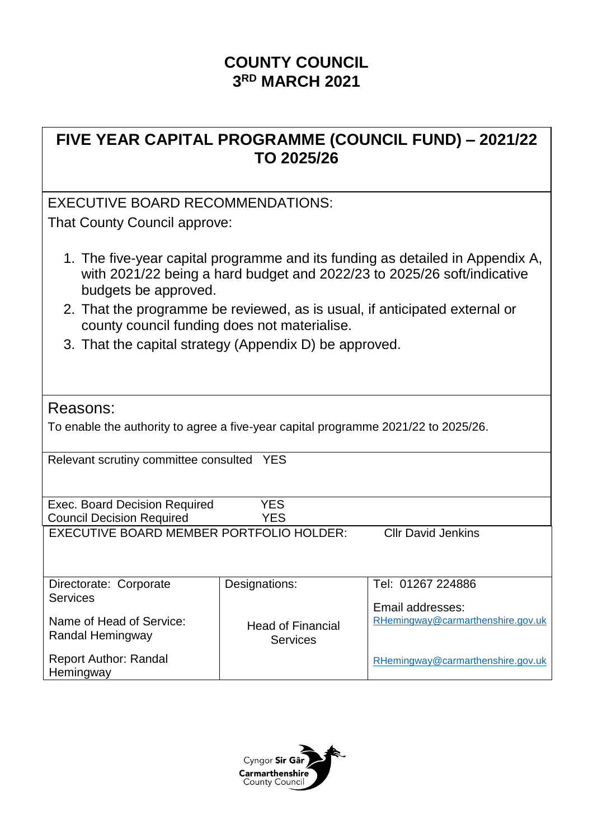# **COUNTY COUNCIL 3 RD MARCH 2021**

# **FIVE YEAR CAPITAL PROGRAMME (COUNCIL FUND) – 2021/22 TO 2025/26**

### EXECUTIVE BOARD RECOMMENDATIONS:

That County Council approve:

- 1. The five-year capital programme and its funding as detailed in Appendix A, with 2021/22 being a hard budget and 2022/23 to 2025/26 soft/indicative budgets be approved.
- 2. That the programme be reviewed, as is usual, if anticipated external or county council funding does not materialise.
- 3. That the capital strategy (Appendix D) be approved.

### Reasons:

To enable the authority to agree a five-year capital programme 2021/22 to 2025/26.

Relevant scrutiny committee consulted YES

Exec. Board Decision Required YES Council Decision Required YES

EXECUTIVE BOARD MEMBER PORTFOLIO HOLDER: Cllr David Jenkins

| Directorate: Corporate                       | Designations:                               | Tel: 01267 224886                 |
|----------------------------------------------|---------------------------------------------|-----------------------------------|
| <b>Services</b>                              |                                             | Email addresses:                  |
| Name of Head of Service:<br>Randal Hemingway | <b>Head of Financial</b><br><b>Services</b> | RHemingway@carmarthenshire.gov.uk |
| <b>Report Author: Randal</b><br>Hemingway    |                                             | RHemingway@carmarthenshire.gov.uk |

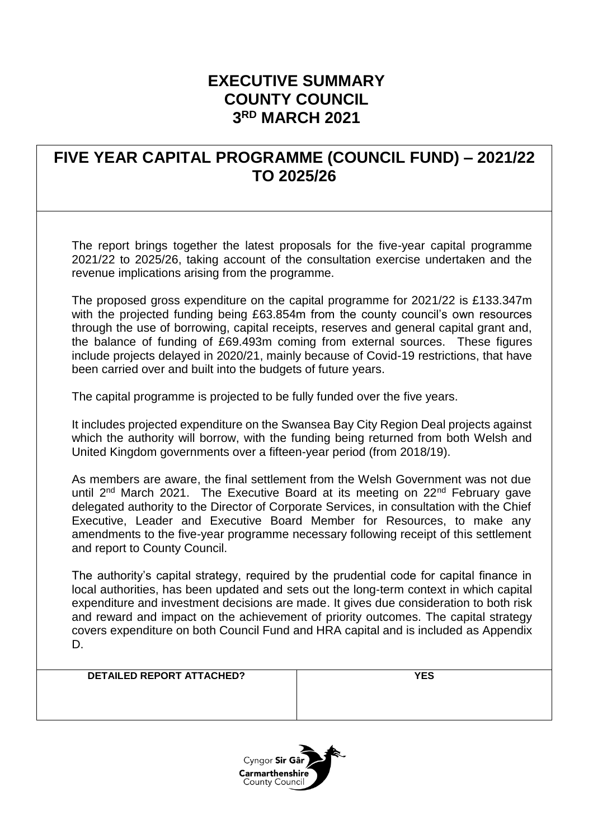### **EXECUTIVE SUMMARY COUNTY COUNCIL 3 RD MARCH 2021**

### **FIVE YEAR CAPITAL PROGRAMME (COUNCIL FUND) – 2021/22 TO 2025/26**

The report brings together the latest proposals for the five-year capital programme 2021/22 to 2025/26, taking account of the consultation exercise undertaken and the revenue implications arising from the programme.

The proposed gross expenditure on the capital programme for 2021/22 is £133.347m with the projected funding being £63.854m from the county council's own resources through the use of borrowing, capital receipts, reserves and general capital grant and, the balance of funding of £69.493m coming from external sources. These figures include projects delayed in 2020/21, mainly because of Covid-19 restrictions, that have been carried over and built into the budgets of future years.

The capital programme is projected to be fully funded over the five years.

It includes projected expenditure on the Swansea Bay City Region Deal projects against which the authority will borrow, with the funding being returned from both Welsh and United Kingdom governments over a fifteen-year period (from 2018/19).

As members are aware, the final settlement from the Welsh Government was not due until  $2^{nd}$  March 2021. The Executive Board at its meeting on  $22^{nd}$  February gave delegated authority to the Director of Corporate Services, in consultation with the Chief Executive, Leader and Executive Board Member for Resources, to make any amendments to the five-year programme necessary following receipt of this settlement and report to County Council.

The authority's capital strategy, required by the prudential code for capital finance in local authorities, has been updated and sets out the long-term context in which capital expenditure and investment decisions are made. It gives due consideration to both risk and reward and impact on the achievement of priority outcomes. The capital strategy covers expenditure on both Council Fund and HRA capital and is included as Appendix D.

#### **DETAILED REPORT ATTACHED? YES**

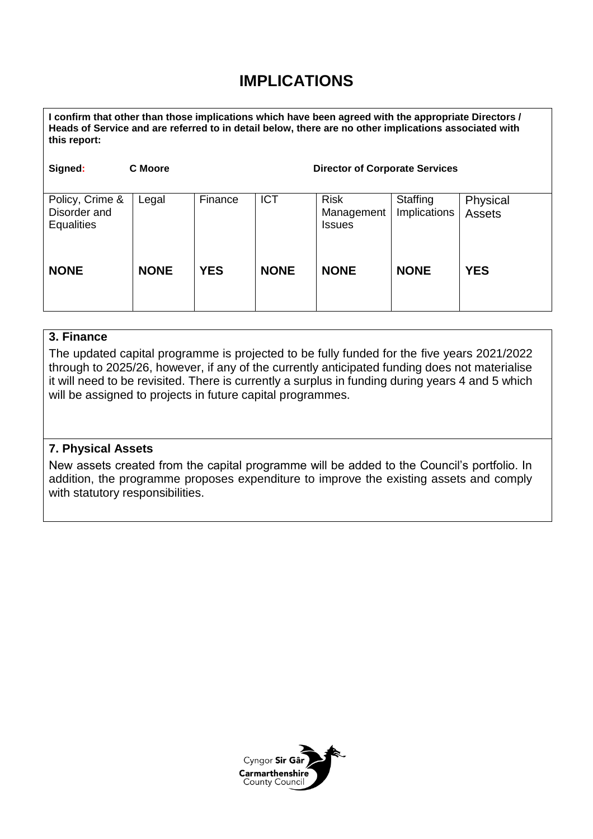# **IMPLICATIONS**

**I confirm that other than those implications which have been agreed with the appropriate Directors / Heads of Service and are referred to in detail below, there are no other implications associated with this report:**

| Signed:                                              | <b>C</b> Moore |            |             | <b>Director of Corporate Services</b>      |                          |                           |
|------------------------------------------------------|----------------|------------|-------------|--------------------------------------------|--------------------------|---------------------------|
| Policy, Crime &<br>Disorder and<br><b>Equalities</b> | Legal          | Finance    | <b>ICT</b>  | <b>Risk</b><br>Management<br><b>Issues</b> | Staffing<br>Implications | Physical<br><b>Assets</b> |
| <b>NONE</b>                                          | <b>NONE</b>    | <b>YES</b> | <b>NONE</b> | <b>NONE</b>                                | <b>NONE</b>              | <b>YES</b>                |

### **3. Finance**

The updated capital programme is projected to be fully funded for the five years 2021/2022 through to 2025/26, however, if any of the currently anticipated funding does not materialise it will need to be revisited. There is currently a surplus in funding during years 4 and 5 which will be assigned to projects in future capital programmes.

### **7. Physical Assets**

New assets created from the capital programme will be added to the Council's portfolio. In addition, the programme proposes expenditure to improve the existing assets and comply with statutory responsibilities.